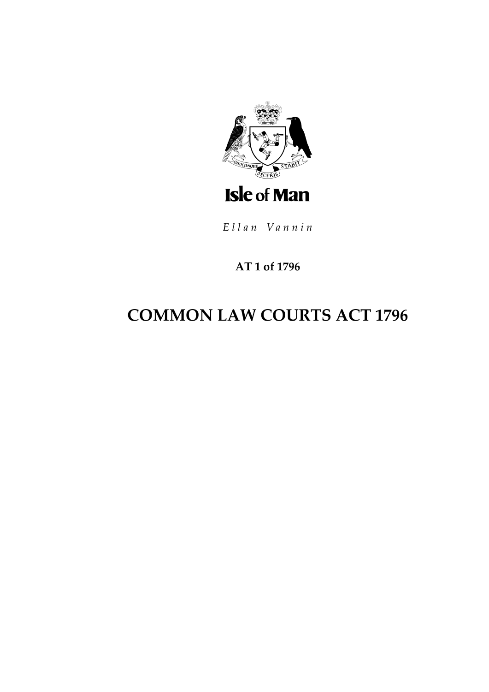

Ellan Vannin

### AT 1 of 1796

# **COMMON LAW COURTS ACT 1796**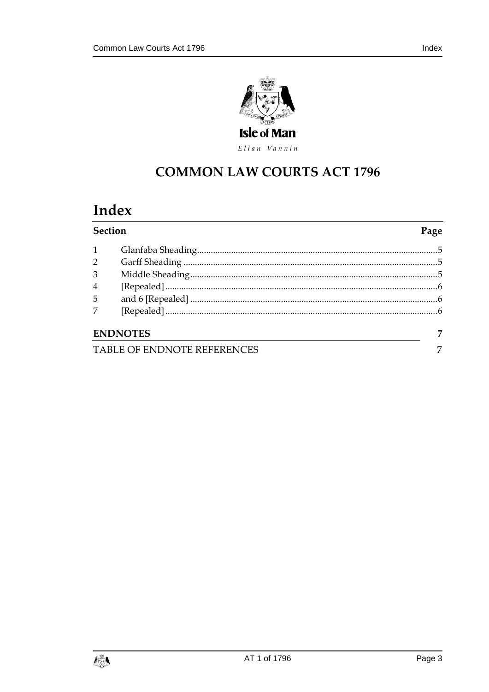

Ellan Vannin

# **COMMON LAW COURTS ACT 1796**

# Index

| Section                     |                 | Page |
|-----------------------------|-----------------|------|
| $\mathbf{1}$                |                 |      |
| $2^{\circ}$                 |                 |      |
| 3                           |                 |      |
| $\overline{4}$              |                 |      |
| 5 <sup>5</sup>              |                 |      |
| $\overline{7}$              |                 |      |
|                             | <b>ENDNOTES</b> | 7    |
| TABLE OF ENDNOTE REFERENCES |                 |      |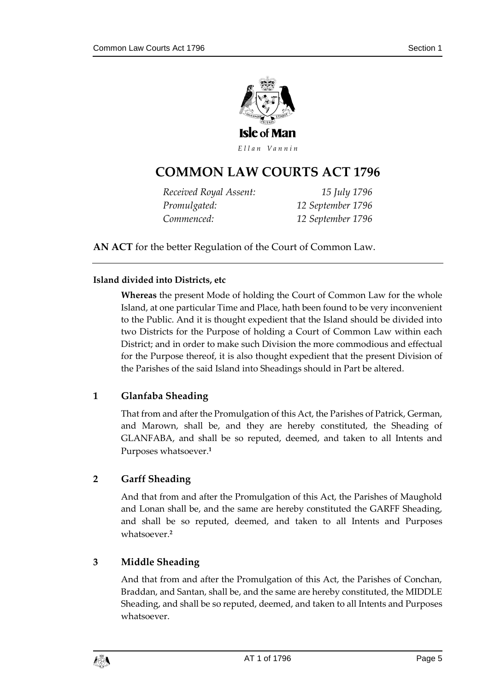

Ellan Vannin

### **COMMON LAW COURTS AC T 1796**

| Received Royal Assent: | 15 July 1796      |
|------------------------|-------------------|
| Promulgated:           | 12 September 1796 |
| Commenced:             | 12 September 1796 |

**AN ACT** for the better Regulation of the Court of Common Law.

#### **Island divided into Districts, etc**

**Whereas** the present Mode of holding the Court of Common Law for the whole Island, at one particular Time and Place, hath been found to be very inconvenient to the Public. And it is thought expedient that the Island should be divided into two Districts for the Purpose of holding a Court of Common Law within each District; and in order to make such Division the more commodious and effectual for the Purpose thereof, it is also thought expedient that the present Division of the Parishes of the said Island into Sheadings should in Part be altered.

#### <span id="page-4-0"></span>**1 Glanfaba Sheading**

That from and after the Promulgation of this Act, the Parishes of Patrick, German, and Marown, shall be, and they are hereby constituted, the Sheading of GLANFABA, and shall be so reputed, deemed, and taken to all Intents and Purposes whatsoever.**<sup>1</sup>**

#### <span id="page-4-1"></span>**2 Garff Sheading**

And that from and after the Promulgation of this Act, the Parishes of Maughold and Lonan shall be, and the same are hereby constituted the GARFF Sheading, and shall be so reputed, deemed, and taken to all Intents and Purposes whatsoever.**<sup>2</sup>**

#### <span id="page-4-2"></span>**3 Middle Sheading**

And that from and after the Promulgation of this Act, the Parishes of Conchan, Braddan, and Santan, shall be, and the same are hereby constituted, the MIDDLE Sheading, and shall be so reputed, deemed, and taken to all Intents and Purposes whatsoever.

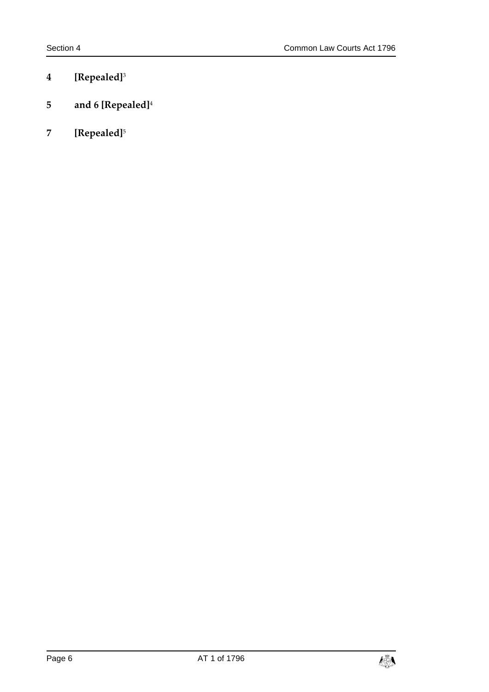- <span id="page-5-0"></span>**4 [Repealed]**<sup>3</sup>
- <span id="page-5-1"></span>**5 and 6 [Repealed]**<sup>4</sup>
- <span id="page-5-2"></span>**7 [Repealed]**<sup>5</sup>